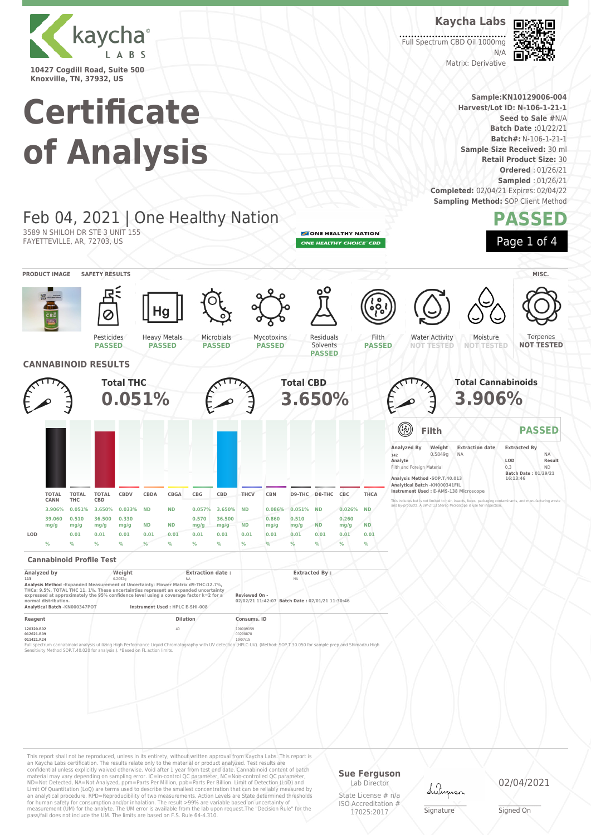

**Knoxville, TN, 37932, US**

# **Certificate of Analysis**

Feb 04, 2021 | One Healthy Nation

Heavy Metals **PASSED**

**Kaycha Labs** Full Spectrum CBD Oil 1000mg



Matrix: Derivative

 $N/L$ 

**Sample:KN10129006-004 Harvest/Lot ID: N-106-1-21-1 Seed to Sale #**N/A **Batch Date :**01/22/21 **Batch#:** N-106-1-21-1 **Sample Size Received:** 30 ml **Retail Product Size:** 30 **Ordered** : 01/26/21 **Sampled** : 01/26/21 **Completed:** 02/04/21 Expires: 02/04/22 **Sampling Method: SOP Client Method** 

## **PASSED**

ONE HEALTHY NATION ONE HEALTHY CHOICE" CBD

> Filth **PASSED**

Residuals Solvents **PASSED**



**PRODUCT IMAGE SAFETY RESULTS MISC.**

Water Activity **NOT TESTED**



**NOT TESTED**



Pesticides **PASSED**

3589 N SHILOH DR STE 3 UNIT 155 FAYETTEVILLE, AR, 72703, US

|     |                             |                            |                     | <b>Total THC</b><br>0.051% |           |               |               |                |             |               | <b>Total CBD</b><br>3.650% |                   |               |             |                                                             |                                                                                      | <b>Total Cannabinoids</b><br>3.906%                                                                                                                |                                                                       |                            |
|-----|-----------------------------|----------------------------|---------------------|----------------------------|-----------|---------------|---------------|----------------|-------------|---------------|----------------------------|-------------------|---------------|-------------|-------------------------------------------------------------|--------------------------------------------------------------------------------------|----------------------------------------------------------------------------------------------------------------------------------------------------|-----------------------------------------------------------------------|----------------------------|
|     |                             |                            |                     |                            |           |               |               |                |             |               |                            |                   |               |             | $\textcircled{\tiny{R}}$                                    | Filth                                                                                |                                                                                                                                                    |                                                                       | <b>PASSED</b>              |
|     |                             |                            |                     |                            |           |               |               |                |             |               |                            |                   |               |             | Analyzed By<br>142<br>Analyte<br>Filth and Foreign Material | Weight<br>0.5849q<br>Analysis Method -SOP.T.40.013<br>Analytical Batch - KN000341FIL | <b>Extraction date</b><br><b>NA</b>                                                                                                                | <b>Extracted By</b><br>LOD<br>0.3<br>Batch Date: 01/29/21<br>16:13:46 | <b>NA</b><br>Result<br>ND. |
|     | <b>TOTAL</b><br><b>CANN</b> | <b>TOTAL</b><br><b>THC</b> | <b>TOTAL</b><br>CBD | CBDV                       | CBDA      | CBGA          | CBG           | <b>CBD</b>     | <b>THCV</b> | <b>CBN</b>    |                            | D9-THC D8-THC CBC |               | <b>THCA</b> |                                                             |                                                                                      | Instrument Used: E-AMS-138 Microscope<br>This includes but is not limited to hair, insects, feces, packaging contaminants, and manufacturing waste |                                                                       |                            |
|     | 3.906%                      | 0.051%                     | 3.650%              | 0.033%                     | <b>ND</b> | <b>ND</b>     | 0.057%        | 3.650%         | <b>ND</b>   | 0.086%        | 0.051%                     | <b>ND</b>         | $0.026\%$ ND  |             |                                                             |                                                                                      | and by-products. A SW-2T13 Stereo Microscope is use for inspection.                                                                                |                                                                       |                            |
|     | 39,060<br>mq/q              | 0.510<br>mg/g              | 36,500<br>mq/q      | 0.330<br>mg/g              | <b>ND</b> | <b>ND</b>     | 0.570<br>mg/g | 36,500<br>mg/g | <b>ND</b>   | 0.860<br>mg/g | 0.510<br>mg/g              | <b>ND</b>         | 0.260<br>mg/g | <b>ND</b>   |                                                             |                                                                                      |                                                                                                                                                    |                                                                       |                            |
| LOD |                             | 0.01                       | 0.01                | 0.01                       | 0.01      | 0.01          | 0.01          | 0.01           | 0.01        | 0.01          | 0.01                       | 0.01              | 0.01          | 0.01        |                                                             |                                                                                      |                                                                                                                                                    |                                                                       |                            |
|     | %                           | $\%$                       | %                   | $\frac{9}{6}$              |           | $\frac{9}{6}$ | $\%$          | %              |             |               |                            |                   | %             | %           |                                                             |                                                                                      |                                                                                                                                                    |                                                                       |                            |

Microbials **PASSED**

Mycotoxins **PASSED**

### **Cannabinoid Profile Test**

| Analyzed by                                                                                                                                                                                                                                                                                                                 | Weight  | <b>Extraction date:</b>          |               | <b>Extracted By:</b>                            |  |
|-----------------------------------------------------------------------------------------------------------------------------------------------------------------------------------------------------------------------------------------------------------------------------------------------------------------------------|---------|----------------------------------|---------------|-------------------------------------------------|--|
| 113                                                                                                                                                                                                                                                                                                                         | 0.2052a | <b>NA</b>                        |               | <b>NA</b>                                       |  |
| Analysis Method - Expanded Measurement of Uncertainty: Flower Matrix d9-THC:12.7%,<br>THCa: 9.5%, TOTAL THC 11, 1%. These uncertainties represent an expanded uncertainty<br>expressed at approximately the 95% confidence level using a coverage factor k=2 for a<br>normal distribution.<br>Analytical Batch -KN000347POT |         | Instrument Used : HPLC E-SHI-008 | Reviewed On - | 02/02/21 11:42:07 Batch Date: 02/01/21 11:30:46 |  |
| Reagent                                                                                                                                                                                                                                                                                                                     |         | <b>Dilution</b>                  | Consums, ID   |                                                 |  |
| 120320.R02                                                                                                                                                                                                                                                                                                                  |         | 40                               | 190909059     |                                                 |  |

**012621.R09** 00298878

**011421.R24** 19/07/15 Full spectrum cannabinoid analysis utilizing High Performance Liquid Chromatography with UV detection (HPLC-UV). (Method: SOP,T.30.050 for sample prep and Shimadzu High<br>Sensitivity Method SOP.T-40.020 for analysis.). "Base

This report shall not be reproduced, unless in its entirety, without written approval from Kaycha Labs. This report is an Kaycha Labs certification. The results relate only to the material or product analyzed. Test results are<br>confidential unless explicitly waived otherwise. Void after 1 year from test end date. Cannabinoid content of bat Limit Of Quantitation (LoQ) are terms used to describe the smallest concentration that can be reliably measured by an analytical procedure. RPD=Reproducibility of two measurements. Action Levels are State determined thresholds<br>for human safety for consumption and/or inhalation. The result >99% are variable based on uncertainty of<br>measu

#### **Sue Ferguson** Lab Director

State License # n/a ISO Accreditation # 17025:2017

dutin

\_\_\_\_\_\_\_\_\_\_\_\_\_\_\_\_\_\_\_ Signature

02/04/2021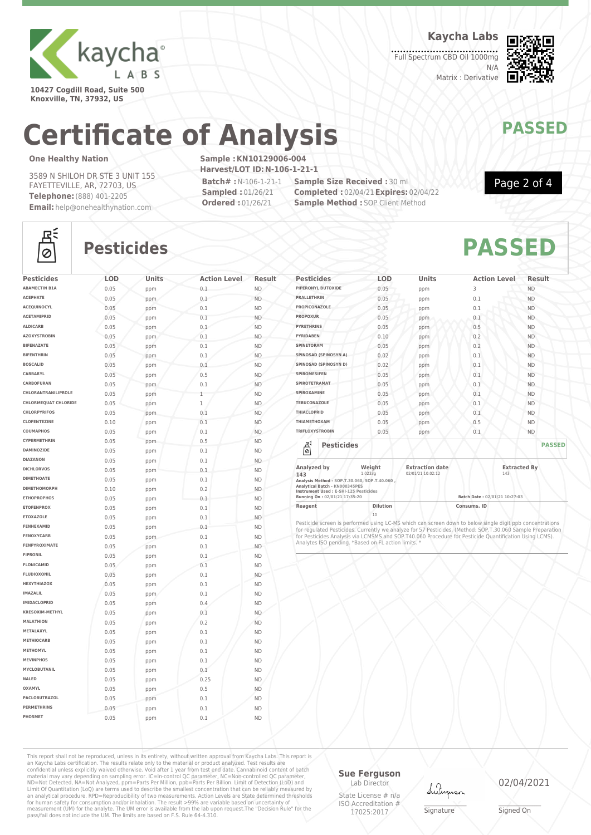

**10427 Cogdill Road, Suite 500 Knoxville, TN, 37932, US**

**Kaycha Labs**

Full Spectrum CBD Oil 1000mg N/A Matrix : Derivative



Page 2 of 4

# **Certificate of Analysis MANAWAPASSED**

### **One Healthy Nation**

조  $\circ$ 

3589 N SHILOH DR STE 3 UNIT 155 FAYETTEVILLE, AR, 72703, US **Telephone:**(888) 401-2205 **Email:** help@onehealthynation.com **Sample :KN10129006-004 Harvest/LOT ID:N-106-1-21-1**

**Batch# :**N-106-1-21-1 **Sampled :** 01/26/21 **Ordered :** 01/26/21

**Sample Size Received :** 30 ml **Completed :** 02/04/21**Expires:** 02/04/22 **Sample Method : SOP Client Method** 



| <b>Pesticides</b>             | LOD          | Units      | <b>Action Level</b> | Result                 |
|-------------------------------|--------------|------------|---------------------|------------------------|
| <b>ABAMECTIN B1A</b>          | 0.05         | ppm        | 0.1                 | ND.                    |
| <b>ACEPHATE</b>               | 0.05         | ppm        | 0.1                 | <b>ND</b>              |
| <b>ACEOUINOCYL</b>            | 0.05         | ppm        | 0.1                 | <b>ND</b>              |
| <b>ACETAMIPRID</b>            | 0.05         | ppm        | 0.1                 | <b>ND</b>              |
| <b>ALDICARB</b>               | 0.05         | ppm        | 0.1                 | <b>ND</b>              |
| <b>AZOXYSTROBIN</b>           | 0.05         | ppm        | 0.1                 | <b>ND</b>              |
| <b>BIFENAZATE</b>             | 0.05         | ppm        | 0.1                 | <b>ND</b>              |
| <b>BIFENTHRIN</b>             | 0.05         | ppm        | 0.1                 | <b>ND</b>              |
| <b>BOSCALID</b>               | 0.05         | ppm        | 0.1                 | <b>ND</b>              |
| CARBARYL                      | 0.05         | ppm        | 0.5                 | <b>ND</b>              |
| CARBOFURAN                    | 0.05         | ppm        | 0.1                 | <b>ND</b>              |
| CHLORANTRANILIPROLE           | 0.05         | ppm        | 1                   | <b>ND</b>              |
| <b>CHLORMEQUAT CHLORIDE</b>   | 0.05         | ppm        | $\,1$               | ND.                    |
| <b>CHLORPYRIFOS</b>           | 0.05         | ppm        | 0.1                 | <b>ND</b>              |
| <b>CLOFENTEZINE</b>           | 0.10         | ppm        | 0.1                 | <b>ND</b>              |
| COUMAPHOS                     | 0.05         | ppm        | 0.1                 | <b>ND</b>              |
| CYPERMETHRIN                  | 0.05         | ppm        | 0.5                 | <b>ND</b>              |
| DAMINOZIDE                    | 0.05         | ppm        | 0.1                 | <b>ND</b>              |
| <b>DIAZANON</b>               | 0.05         | ppm        | 0.1                 | <b>ND</b>              |
| <b>DICHLORVOS</b>             | 0.05         | ppm        | 0.1                 | <b>ND</b>              |
| <b>DIMETHOATE</b>             | 0.05         | ppm        | 0.1                 | <b>ND</b>              |
| <b>DIMETHOMORPH</b>           | 0.10         | ppm        | 0.2                 | <b>ND</b>              |
| <b>ETHOPROPHOS</b>            | 0.05         | ppm        | 0.1                 | <b>ND</b>              |
| <b>ETOFENPROX</b>             | 0.05         | ppm        | 0.1                 | <b>ND</b>              |
| <b>ETOXAZOLE</b>              | 0.05         | ppm        | 0.1                 | <b>ND</b>              |
| FENHEXAMID                    | 0.05         | ppm        | 0.1                 | <b>ND</b>              |
| <b>FENOXYCARB</b>             | 0.05         | ppm        | 0.1                 | <b>ND</b>              |
| FENPYROXIMATE                 | 0.05         | ppm        | 0.1                 | <b>ND</b>              |
| <b>FIPRONIL</b>               | 0.05         | ppm        | 0.1                 | <b>ND</b>              |
| <b>FLONICAMID</b>             | 0.05         | ppm        | 0.1                 | <b>ND</b>              |
| <b>FLUDIOXONIL</b>            | 0.05         | ppm        | 0.1                 | <b>ND</b>              |
| <b>HEXYTHIAZOX</b>            | 0.05         | ppm        | 0.1                 | <b>ND</b>              |
| <b>IMAZALIL</b>               | 0.05         | ppm        | 0.1                 | <b>ND</b>              |
| <b>IMIDACLOPRID</b>           | 0.05         | ppm        | 0.4                 | <b>ND</b>              |
| KRESOXIM-METHYL               | 0.05         | ppm        | 0.1                 | <b>ND</b>              |
| <b>MALATHION</b>              | 0.05         | ppm        | 0.2                 | <b>ND</b>              |
| METALAXYL                     | 0.05         | ppm        | 0.1                 | <b>ND</b>              |
| <b>METHIOCARB</b>             | 0.05         | ppm        | 0.1                 | <b>ND</b>              |
| <b>METHOMYL</b>               | 0.05         | ppm        | 0.1                 | <b>ND</b>              |
| <b>MEVINPHOS</b>              | 0.05         | ppm        | 0.1                 | <b>ND</b>              |
| MYCLOBUTANIL                  | 0.05         | ppm        | 0.1                 | <b>ND</b>              |
| NALED                         | 0.05         | ppm        | 0.25                | N <sub>D</sub>         |
| <b>OXAMYL</b>                 | 0.05         | ppm        | 0.5                 | <b>ND</b>              |
| <b>PACLOBUTRAZOL</b>          | 0.05         | ppm        | 0.1                 | <b>ND</b>              |
|                               |              |            |                     |                        |
|                               |              |            |                     |                        |
| <b>PERMETHRINS</b><br>PHOSMET | 0.05<br>0.05 | ppm<br>ppm | 0.1<br>0.1          | <b>ND</b><br><b>ND</b> |

| <b>Pesticides</b>                                                   | <b>LOD</b>        | <b>Units</b>                                | <b>Action Level</b> | Result              |
|---------------------------------------------------------------------|-------------------|---------------------------------------------|---------------------|---------------------|
| PIPERONYL BUTOXIDE                                                  | 0.05              | ppm                                         | 3                   | <b>ND</b>           |
| <b>PRALLETHRIN</b>                                                  | 0.05              | ppm                                         | 0.1                 | <b>ND</b>           |
| PROPICONAZOLE                                                       | 0.05              | ppm                                         | 0.1                 | <b>ND</b>           |
| <b>PROPOXUR</b>                                                     | 0.05              | ppm                                         | 0.1                 | <b>ND</b>           |
| <b>PYRETHRINS</b>                                                   | 0.05              | ppm                                         | 0.5                 | <b>ND</b>           |
| <b>PYRIDABEN</b>                                                    | 0.10              | ppm                                         | 0.2                 | <b>ND</b>           |
| SPINETORAM                                                          | 0.05              | ppm                                         | 0.2                 | <b>ND</b>           |
| SPINOSAD (SPINOSYN A)                                               | 0.02              | ppm                                         | 0.1                 | <b>ND</b>           |
| SPINOSAD (SPINOSYN D)                                               | 0.02              | ppm                                         | 0.1                 | <b>ND</b>           |
| <b>SPIROMESIFEN</b>                                                 | 0.05              | ppm                                         | 0.1                 | <b>ND</b>           |
| SPIROTETRAMAT                                                       | 0.05              | ppm                                         | 0.1                 | <b>ND</b>           |
| SPIROXAMINE                                                         | 0.05              | ppm                                         | 0.1                 | <b>ND</b>           |
| <b>TEBUCONAZOLE</b>                                                 | 0.05              | ppm                                         | 0.1                 | <b>ND</b>           |
| <b>THIACLOPRID</b>                                                  | 0.05              | ppm                                         | 0.1                 | <b>ND</b>           |
| <b><i>THIAMETHOXAM</i></b>                                          | 0.05              | ppm                                         | 0.5                 | <b>ND</b>           |
| <b>TRIFLOXYSTROBIN</b>                                              | 0.05              | ppm                                         | 0.1                 | <b>ND</b>           |
| 븮<br><b>Pesticides</b>                                              |                   |                                             |                     | <b>PASSED</b>       |
| Analyzed by<br>143<br>Analysis Method - SOP.T.30.060, SOP.T.40.060, | Weight<br>1.0233q | <b>Extraction date</b><br>02/01/21 10:02:12 | 143                 | <b>Extracted By</b> |

**Analytical Batch - KN000345PES Instrument Used : E-SHI-125 Pesticides**

**Running On : 02/01/21 17:35:20 Batch Date : 02/01/21 10:27:03 Reagent Dilution Dilution Consums. ID** 

20<br>Pesticide screen is performed using LC-MS which can screen down to below single digit ppb concentrations<br>for regulated Pesticides. Currently we analyze for 57 Pesticides. (Method: SOP.T.30.060 Sample Preparation<br>for Pes

This report shall not be reproduced, unless in its entirety, without written approval from Kaycha Labs. This report is<br>an Kaycha Labs certification. The results relate only to the materal or product analyzed. Test results

#### **Sue Ferguson** Lab Director

State License # n/a ISO Accreditation # 17025:2017

Lutun

\_\_\_\_\_\_\_\_\_\_\_\_\_\_\_\_\_\_\_ Signature

02/04/2021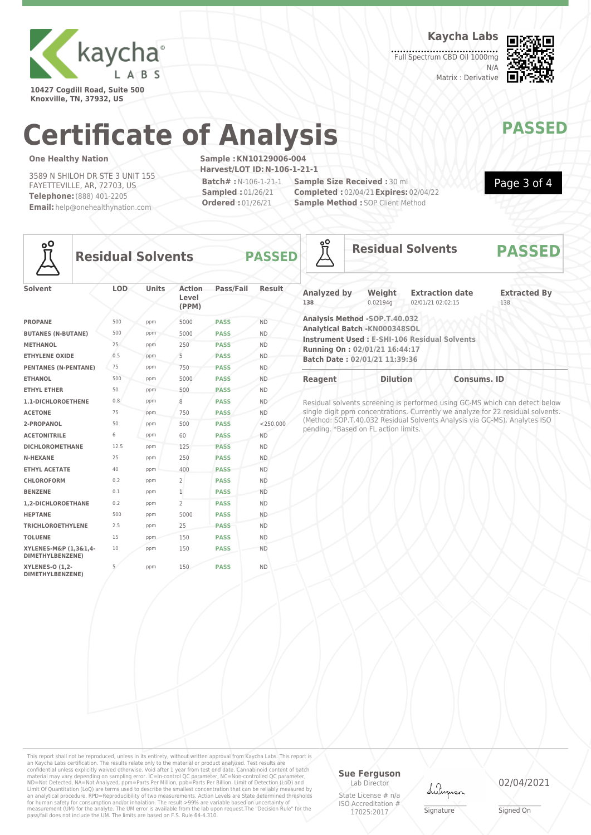

**10427 Cogdill Road, Suite 500 Knoxville, TN, 37932, US**

**Kaycha Labs**

Full Spectrum CBD Oil 1000mg N/A Matrix : Derivative



Page 3 of 4

# **Certificate of Analysis MANAWAPASSED**

### **One Healthy Nation**

3589 N SHILOH DR STE 3 UNIT 155 FAYETTEVILLE, AR, 72703, US **Telephone:**(888) 401-2205 **Email:** help@onehealthynation.com **Sample :KN10129006-004 Harvest/LOT ID:N-106-1-21-1 Batch# :**N-106-1-21-1

**Sampled :** 01/26/21 **Ordered :** 01/26/21

**Sample Size Received :** 30 ml **Completed :** 02/04/21**Expires:** 02/04/22 **Sample Method : SOP Client Method** 



### **Residual Solvents PASSED**

| Solvent                                   | LOD  | <b>Units</b> | <b>Action</b><br>Level<br>(PPM) | Pass/Fail   | <b>Result</b> |
|-------------------------------------------|------|--------------|---------------------------------|-------------|---------------|
| <b>PROPANE</b>                            | 500  | ppm          | 5000                            | <b>PASS</b> | <b>ND</b>     |
| <b>BUTANES (N-BUTANE)</b>                 | 500  | ppm          | 5000                            | <b>PASS</b> | <b>ND</b>     |
| <b>ΜΕΤΗΔΝΟΙ</b>                           | 25   | ppm          | 250                             | <b>PASS</b> | <b>ND</b>     |
| <b>ETHYLENE OXIDE</b>                     | 0.5  | ppm          | 5                               | <b>PASS</b> | <b>ND</b>     |
| <b>PENTANES (N-PENTANE)</b>               | 75   | ppm          | 750                             | <b>PASS</b> | <b>ND</b>     |
| <b>ETHANOL</b>                            | 500  | ppm          | 5000                            | <b>PASS</b> | <b>ND</b>     |
| <b>ETHYL ETHER</b>                        | 50   | ppm          | 500                             | <b>PASS</b> | <b>ND</b>     |
| 1.1-DICHLOROETHENE                        | 0.8  | ppm          | 8                               | <b>PASS</b> | <b>ND</b>     |
| <b>ACETONE</b>                            | 75   | ppm          | 750                             | <b>PASS</b> | <b>ND</b>     |
| 2-PROPANOL                                | 50   | ppm          | 500                             | <b>PASS</b> | < 250.000     |
| <b>ACETONITRILE</b>                       | 6    | ppm          | 60                              | <b>PASS</b> | <b>ND</b>     |
| <b>DICHLOROMETHANE</b>                    | 12.5 | ppm          | 125                             | <b>PASS</b> | <b>ND</b>     |
| <b>N-HEXANE</b>                           | 25   | ppm          | 250                             | <b>PASS</b> | <b>ND</b>     |
| <b>ETHYL ACETATE</b>                      | 40   | ppm          | 400                             | <b>PASS</b> | <b>ND</b>     |
| CHLOROFORM                                | 0.2  | ppm          | $\overline{2}$                  | <b>PASS</b> | <b>ND</b>     |
| <b>BENZENE</b>                            | 0.1  | ppm          | $\mathbf{1}$                    | <b>PASS</b> | <b>ND</b>     |
| 1.2-DICHLOROETHANE                        | 0.2  | ppm          | $\overline{2}$                  | <b>PASS</b> | <b>ND</b>     |
| <b>HEPTANE</b>                            | 500  | ppm          | 5000                            | <b>PASS</b> | <b>ND</b>     |
| <b>TRICHLOROETHYLENE</b>                  | 2.5  | ppm          | 25                              | <b>PASS</b> | <b>ND</b>     |
| <b>TOLUENE</b>                            | 15   | ppm          | 150                             | <b>PASS</b> | <b>ND</b>     |
| XYLENES-M&P (1,3&1,4-<br>DIMETHYLBENZENE) | 10   | ppm          | 150                             | <b>PASS</b> | <b>ND</b>     |
| XYLENES-O (1.2-<br>DIMETHYLBENZENE)       | 5    | ppm          | 150                             | <b>PASS</b> | <b>ND</b>     |

| ၀္ပ္တ                     |                                                                                                 | <b>Residual Solvents</b>                            | <b>PASSED</b>              |
|---------------------------|-------------------------------------------------------------------------------------------------|-----------------------------------------------------|----------------------------|
| <b>Analyzed by</b><br>138 | Weight<br>0.02194q                                                                              | <b>Extraction date</b><br>02/01/21 02:02:15         | <b>Extracted By</b><br>138 |
|                           | Analysis Method -SOP.T.40.032<br>Analytical Batch -KN000348SOL<br>Running On: 02/01/21 16:44:17 | <b>Instrument Used: E-SHI-106 Residual Solvents</b> |                            |
| <b>Reagent</b>            | Batch Date: 02/01/21 11:39:36<br><b>Dilution</b>                                                | <b>Consums, ID</b>                                  |                            |

Residual solvents screening is performed using GC-MS which can detect below single digit ppm concentrations. Currently we analyze for 22 residual solvents. (Method: SOP.T.40.032 Residual Solvents Analysis via GC-MS). Analytes ISO pending. \*Based on FL action limits.

This report shall not be reproduced, unless in its entirety, without written approval from Kaycha Labs. This report is<br>an Kaycha Labs certification. The results relate only to the materal or product analyzed. Test results

### **Sue Ferguson**

Lab Director State License # n/a ISO Accreditation # 17025:2017

Luting

### 02/04/2021

\_\_\_\_\_\_\_\_\_\_\_\_\_\_\_\_\_\_\_ Signature